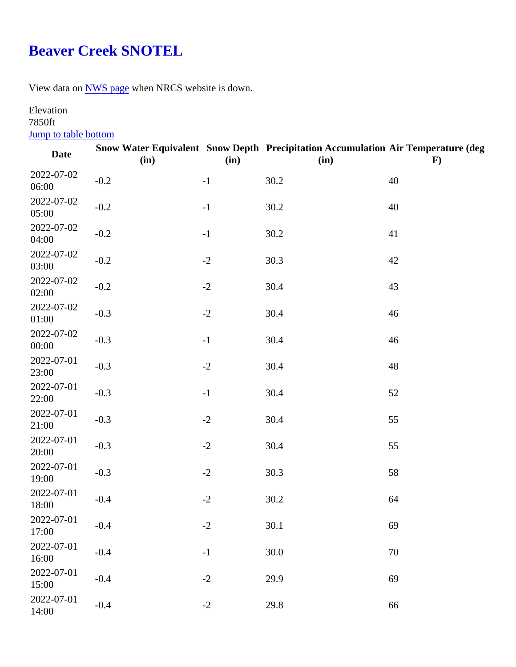## Beaver Creek SNOTEL

View data o[n NWS page](http://www.wrh.noaa.gov/mesowest/timeseries.php?sid=BEVM8&table=1&banner=off)when NRCS website is down.

## Elevation 7850ft

## Jump to table bottom

| Date                | (in)   | (in) | Snow Water Equivalent Snow Depth Precipitation Accumulation Air Temperature (deg<br>(in) | F) |
|---------------------|--------|------|------------------------------------------------------------------------------------------|----|
| 2022-07-02<br>06:00 | $-0.2$ | $-1$ | 30.2                                                                                     | 40 |
| 2022-07-02<br>05:00 | $-0.2$ | $-1$ | 30.2                                                                                     | 40 |
| 2022-07-02<br>04:00 | $-0.2$ | $-1$ | 30.2                                                                                     | 41 |
| 2022-07-02<br>03:00 | $-0.2$ | $-2$ | 30.3                                                                                     | 42 |
| 2022-07-02<br>02:00 | $-0.2$ | $-2$ | 30.4                                                                                     | 43 |
| 2022-07-02<br>01:00 | $-0.3$ | $-2$ | 30.4                                                                                     | 46 |
| 2022-07-02<br>00:00 | $-0.3$ | $-1$ | 30.4                                                                                     | 46 |
| 2022-07-01<br>23:00 | $-0.3$ | $-2$ | 30.4                                                                                     | 48 |
| 2022-07-01<br>22:00 | $-0.3$ | $-1$ | 30.4                                                                                     | 52 |
| 2022-07-01<br>21:00 | $-0.3$ | $-2$ | 30.4                                                                                     | 55 |
| 2022-07-01<br>20:00 | $-0.3$ | $-2$ | 30.4                                                                                     | 55 |
| 2022-07-01<br>19:00 | $-0.3$ | $-2$ | 30.3                                                                                     | 58 |
| 2022-07-01<br>18:00 | $-0.4$ | $-2$ | 30.2                                                                                     | 64 |
| 2022-07-01<br>17:00 | $-0.4$ | $-2$ | 30.1                                                                                     | 69 |
| 2022-07-01<br>16:00 | $-0.4$ | $-1$ | 30.0                                                                                     | 70 |
| 2022-07-01<br>15:00 | $-0.4$ | $-2$ | 29.9                                                                                     | 69 |
| 2022-07-01<br>14:00 | $-0.4$ | $-2$ | 29.8                                                                                     | 66 |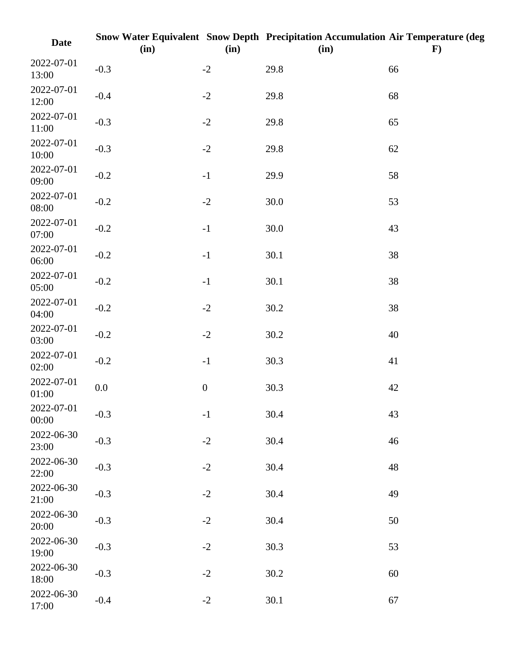| <b>Date</b>         | (in)    | (in)             | Snow Water Equivalent Snow Depth Precipitation Accumulation Air Temperature (deg<br>(in) | $\mathbf{F}$ |
|---------------------|---------|------------------|------------------------------------------------------------------------------------------|--------------|
| 2022-07-01<br>13:00 | $-0.3$  | $-2$             | 29.8                                                                                     | 66           |
| 2022-07-01<br>12:00 | $-0.4$  | $-2$             | 29.8                                                                                     | 68           |
| 2022-07-01<br>11:00 | $-0.3$  | $-2$             | 29.8                                                                                     | 65           |
| 2022-07-01<br>10:00 | $-0.3$  | $-2$             | 29.8                                                                                     | 62           |
| 2022-07-01<br>09:00 | $-0.2$  | $-1$             | 29.9                                                                                     | 58           |
| 2022-07-01<br>08:00 | $-0.2$  | $-2$             | 30.0                                                                                     | 53           |
| 2022-07-01<br>07:00 | $-0.2$  | $-1$             | 30.0                                                                                     | 43           |
| 2022-07-01<br>06:00 | $-0.2$  | $-1$             | 30.1                                                                                     | 38           |
| 2022-07-01<br>05:00 | $-0.2$  | $-1$             | 30.1                                                                                     | 38           |
| 2022-07-01<br>04:00 | $-0.2$  | $-2$             | 30.2                                                                                     | 38           |
| 2022-07-01<br>03:00 | $-0.2$  | $-2$             | 30.2                                                                                     | 40           |
| 2022-07-01<br>02:00 | $-0.2$  | $-1$             | 30.3                                                                                     | 41           |
| 2022-07-01<br>01:00 | $0.0\,$ | $\boldsymbol{0}$ | 30.3                                                                                     | 42           |
| 2022-07-01<br>00:00 | $-0.3$  | $\mathbf{-1}$    | 30.4                                                                                     | 43           |
| 2022-06-30<br>23:00 | $-0.3$  | $-2$             | 30.4                                                                                     | 46           |
| 2022-06-30<br>22:00 | $-0.3$  | $-2$             | 30.4                                                                                     | 48           |
| 2022-06-30<br>21:00 | $-0.3$  | $-2$             | 30.4                                                                                     | 49           |
| 2022-06-30<br>20:00 | $-0.3$  | $-2$             | 30.4                                                                                     | 50           |
| 2022-06-30<br>19:00 | $-0.3$  | $-2$             | 30.3                                                                                     | 53           |
| 2022-06-30<br>18:00 | $-0.3$  | $-2$             | 30.2                                                                                     | 60           |
| 2022-06-30<br>17:00 | $-0.4$  | $-2$             | 30.1                                                                                     | 67           |